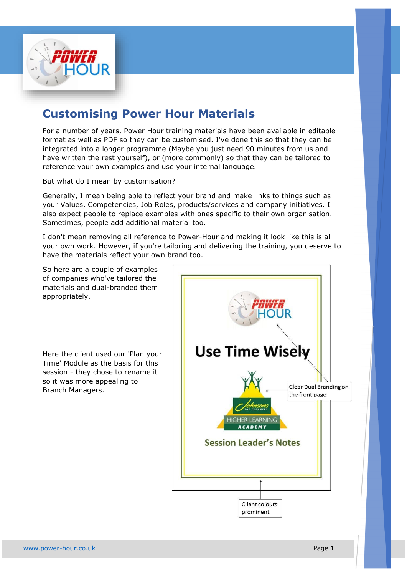

## **Customising Power Hour Materials**

For a number of years, Power Hour training materials have been available in editable format as well as PDF so they can be customised. I've done this so that they can be integrated into a longer programme (Maybe you just need 90 minutes from us and have written the rest yourself), or (more commonly) so that they can be tailored to reference your own examples and use your internal language.

But what do I mean by customisation?

Generally, I mean being able to reflect your brand and make links to things such as your Values, Competencies, Job Roles, products/services and company initiatives. I also expect people to replace examples with ones specific to their own organisation. Sometimes, people add additional material too.

I don't mean removing all reference to Power-Hour and making it look like this is all your own work. However, if you're tailoring and delivering the training, you deserve to have the materials reflect your own brand too.

So here are a couple of examples of companies who've tailored the materials and dual-branded them appropriately.

Here the client used our 'Plan your Time' Module as the basis for this session - they chose to rename it so it was more appealing to Branch Managers.

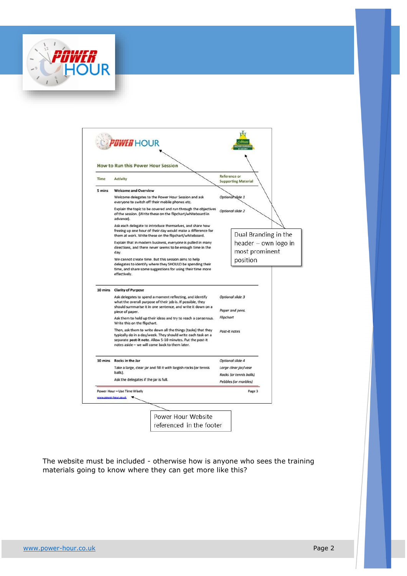



The website must be included - otherwise how is anyone who sees the training materials going to know where they can get more like this?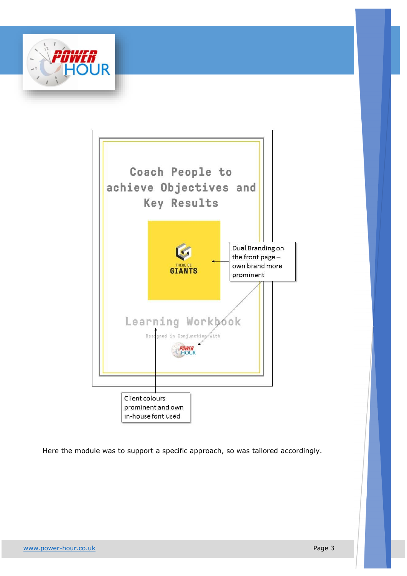



Here the module was to support a specific approach, so was tailored accordingly.